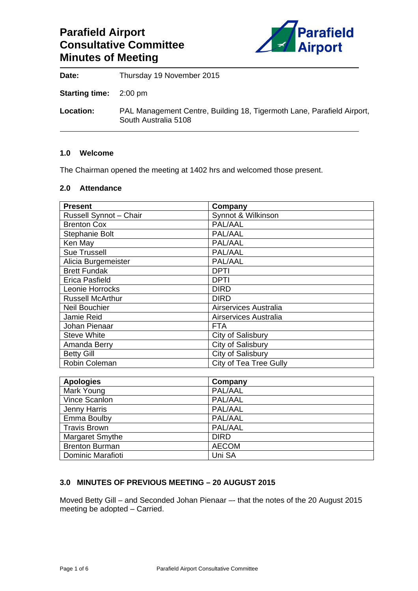# **Parafield Airport Consultative Committee Minutes of Meeting**



**Date:** Thursday 19 November 2015

**Starting time:** 2:00 pm

**Location:** PAL Management Centre, Building 18, Tigermoth Lane, Parafield Airport, South Australia 5108

#### **1.0 Welcome**

The Chairman opened the meeting at 1402 hrs and welcomed those present.

#### **2.0 Attendance**

| <b>Present</b>          | Company                       |
|-------------------------|-------------------------------|
| Russell Synnot - Chair  | Synnot & Wilkinson            |
| <b>Brenton Cox</b>      | PAL/AAL                       |
| Stephanie Bolt          | PAL/AAL                       |
| Ken May                 | PAL/AAL                       |
| <b>Sue Trussell</b>     | PAL/AAL                       |
| Alicia Burgemeister     | PAL/AAL                       |
| <b>Brett Fundak</b>     | <b>DPTI</b>                   |
| Erica Pasfield          | <b>DPTI</b>                   |
| Leonie Horrocks         | <b>DIRD</b>                   |
| <b>Russell McArthur</b> | <b>DIRD</b>                   |
| <b>Neil Bouchier</b>    | Airservices Australia         |
| Jamie Reid              | Airservices Australia         |
| Johan Pienaar           | <b>FTA</b>                    |
| <b>Steve White</b>      | City of Salisbury             |
| Amanda Berry            | City of Salisbury             |
| <b>Betty Gill</b>       | City of Salisbury             |
| Robin Coleman           | <b>City of Tea Tree Gully</b> |

| <b>Apologies</b>      | Company      |
|-----------------------|--------------|
| Mark Young            | PAL/AAL      |
| Vince Scanlon         | PAL/AAL      |
| Jenny Harris          | PAL/AAL      |
| Emma Boulby           | PAL/AAL      |
| <b>Travis Brown</b>   | PAL/AAL      |
| Margaret Smythe       | <b>DIRD</b>  |
| <b>Brenton Burman</b> | <b>AECOM</b> |
| Dominic Marafioti     | Uni SA       |

# **3.0 MINUTES OF PREVIOUS MEETING – 20 AUGUST 2015**

Moved Betty Gill – and Seconded Johan Pienaar –- that the notes of the 20 August 2015 meeting be adopted – Carried.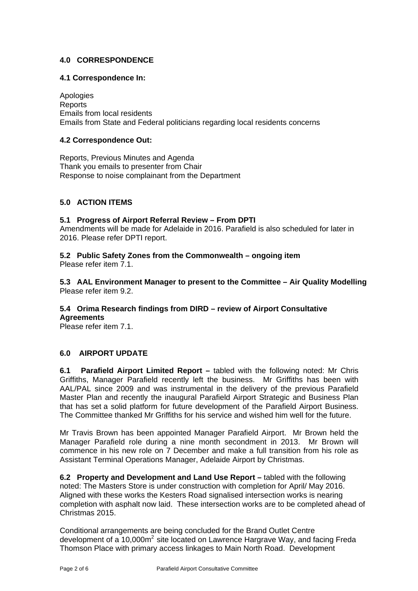# **4.0 CORRESPONDENCE**

### **4.1 Correspondence In:**

Apologies **Reports** Emails from local residents Emails from State and Federal politicians regarding local residents concerns

## **4.2 Correspondence Out:**

Reports, Previous Minutes and Agenda Thank you emails to presenter from Chair Response to noise complainant from the Department

# **5.0 ACTION ITEMS**

#### **5.1 Progress of Airport Referral Review – From DPTI**

Amendments will be made for Adelaide in 2016. Parafield is also scheduled for later in 2016. Please refer DPTI report.

**5.2 Public Safety Zones from the Commonwealth – ongoing item**  Please refer item 7.1.

**5.3 AAL Environment Manager to present to the Committee – Air Quality Modelling**  Please refer item 9.2.

# **5.4 Orima Research findings from DIRD – review of Airport Consultative**

**Agreements**  Please refer item 7.1.

# **6.0 AIRPORT UPDATE**

**6.1 Parafield Airport Limited Report –** tabled with the following noted: Mr Chris Griffiths, Manager Parafield recently left the business. Mr Griffiths has been with AAL/PAL since 2009 and was instrumental in the delivery of the previous Parafield Master Plan and recently the inaugural Parafield Airport Strategic and Business Plan that has set a solid platform for future development of the Parafield Airport Business. The Committee thanked Mr Griffiths for his service and wished him well for the future.

Mr Travis Brown has been appointed Manager Parafield Airport. Mr Brown held the Manager Parafield role during a nine month secondment in 2013. Mr Brown will commence in his new role on 7 December and make a full transition from his role as Assistant Terminal Operations Manager, Adelaide Airport by Christmas.

**6.2 Property and Development and Land Use Report –** tabled with the following noted: The Masters Store is under construction with completion for April/ May 2016. Aligned with these works the Kesters Road signalised intersection works is nearing completion with asphalt now laid. These intersection works are to be completed ahead of Christmas 2015.

Conditional arrangements are being concluded for the Brand Outlet Centre development of a 10,000 $m^2$  site located on Lawrence Hargrave Way, and facing Freda Thomson Place with primary access linkages to Main North Road. Development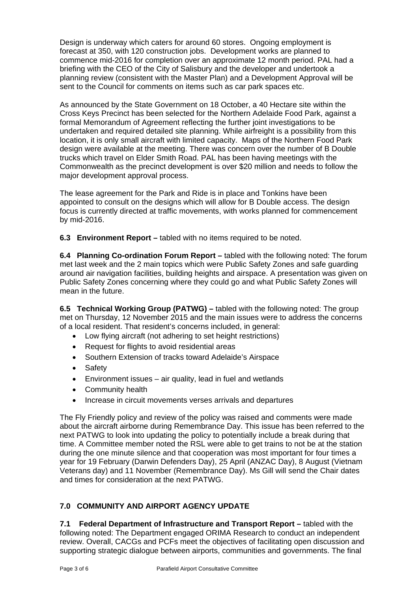Design is underway which caters for around 60 stores. Ongoing employment is forecast at 350, with 120 construction jobs. Development works are planned to commence mid-2016 for completion over an approximate 12 month period. PAL had a briefing with the CEO of the City of Salisbury and the developer and undertook a planning review (consistent with the Master Plan) and a Development Approval will be sent to the Council for comments on items such as car park spaces etc.

As announced by the State Government on 18 October, a 40 Hectare site within the Cross Keys Precinct has been selected for the Northern Adelaide Food Park, against a formal Memorandum of Agreement reflecting the further joint investigations to be undertaken and required detailed site planning. While airfreight is a possibility from this location, it is only small aircraft with limited capacity. Maps of the Northern Food Park design were available at the meeting. There was concern over the number of B Double trucks which travel on Elder Smith Road. PAL has been having meetings with the Commonwealth as the precinct development is over \$20 million and needs to follow the major development approval process.

The lease agreement for the Park and Ride is in place and Tonkins have been appointed to consult on the designs which will allow for B Double access. The design focus is currently directed at traffic movements, with works planned for commencement by mid-2016.

**6.3 Environment Report –** tabled with no items required to be noted.

**6.4 Planning Co-ordination Forum Report –** tabled with the following noted: The forum met last week and the 2 main topics which were Public Safety Zones and safe guarding around air navigation facilities, building heights and airspace. A presentation was given on Public Safety Zones concerning where they could go and what Public Safety Zones will mean in the future.

**6.5 Technical Working Group (PATWG) –** tabled with the following noted: The group met on Thursday, 12 November 2015 and the main issues were to address the concerns of a local resident. That resident's concerns included, in general:

- Low flying aircraft (not adhering to set height restrictions)
- Request for flights to avoid residential areas
- Southern Extension of tracks toward Adelaide's Airspace
- Safety
- Environment issues air quality, lead in fuel and wetlands
- Community health
- Increase in circuit movements verses arrivals and departures

The Fly Friendly policy and review of the policy was raised and comments were made about the aircraft airborne during Remembrance Day. This issue has been referred to the next PATWG to look into updating the policy to potentially include a break during that time. A Committee member noted the RSL were able to get trains to not be at the station during the one minute silence and that cooperation was most important for four times a year for 19 February (Darwin Defenders Day), 25 April (ANZAC Day), 8 August (Vietnam Veterans day) and 11 November (Remembrance Day). Ms Gill will send the Chair dates and times for consideration at the next PATWG.

# **7.0 COMMUNITY AND AIRPORT AGENCY UPDATE**

**7.1 Federal Department of Infrastructure and Transport Report –** tabled with the following noted: The Department engaged ORIMA Research to conduct an independent review. Overall, CACGs and PCFs meet the objectives of facilitating open discussion and supporting strategic dialogue between airports, communities and governments. The final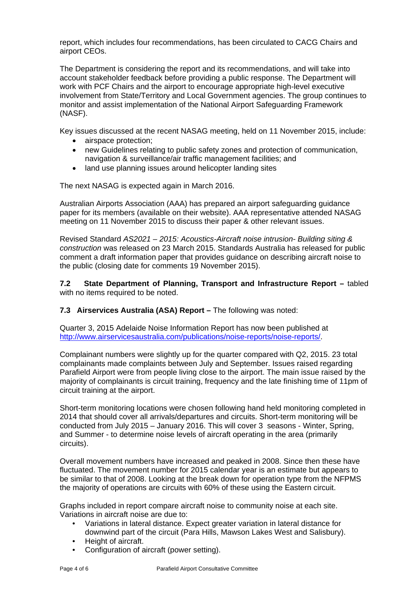report, which includes four recommendations, has been circulated to CACG Chairs and airport CEOs.

The Department is considering the report and its recommendations, and will take into account stakeholder feedback before providing a public response. The Department will work with PCF Chairs and the airport to encourage appropriate high-level executive involvement from State/Territory and Local Government agencies. The group continues to monitor and assist implementation of the National Airport Safeguarding Framework (NASF).

Key issues discussed at the recent NASAG meeting, held on 11 November 2015, include:

- airspace protection;
- new Guidelines relating to public safety zones and protection of communication, navigation & surveillance/air traffic management facilities; and
- land use planning issues around helicopter landing sites

The next NASAG is expected again in March 2016.

Australian Airports Association (AAA) has prepared an airport safeguarding guidance paper for its members (available on their website). AAA representative attended NASAG meeting on 11 November 2015 to discuss their paper & other relevant issues.

Revised Standard *AS2021 – 2015: Acoustics-Aircraft noise intrusion- Building siting & construction* was released on 23 March 2015. Standards Australia has released for public comment a draft information paper that provides guidance on describing aircraft noise to the public (closing date for comments 19 November 2015).

**7.2 State Department of Planning, Transport and Infrastructure Report –** tabled with no items required to be noted.

**7.3 Airservices Australia (ASA) Report –** The following was noted:

Quarter 3, 2015 Adelaide Noise Information Report has now been published at http://www.airservicesaustralia.com/publications/noise-reports/noise-reports/.

Complainant numbers were slightly up for the quarter compared with Q2, 2015. 23 total complainants made complaints between July and September. Issues raised regarding Parafield Airport were from people living close to the airport. The main issue raised by the majority of complainants is circuit training, frequency and the late finishing time of 11pm of circuit training at the airport.

Short-term monitoring locations were chosen following hand held monitoring completed in 2014 that should cover all arrivals/departures and circuits. Short-term monitoring will be conducted from July 2015 – January 2016. This will cover 3 seasons - Winter, Spring, and Summer - to determine noise levels of aircraft operating in the area (primarily circuits).

Overall movement numbers have increased and peaked in 2008. Since then these have fluctuated. The movement number for 2015 calendar year is an estimate but appears to be similar to that of 2008. Looking at the break down for operation type from the NFPMS the majority of operations are circuits with 60% of these using the Eastern circuit.

Graphs included in report compare aircraft noise to community noise at each site. Variations in aircraft noise are due to:

- Variations in lateral distance. Expect greater variation in lateral distance for downwind part of the circuit (Para Hills, Mawson Lakes West and Salisbury).
- Height of aircraft.
- Configuration of aircraft (power setting).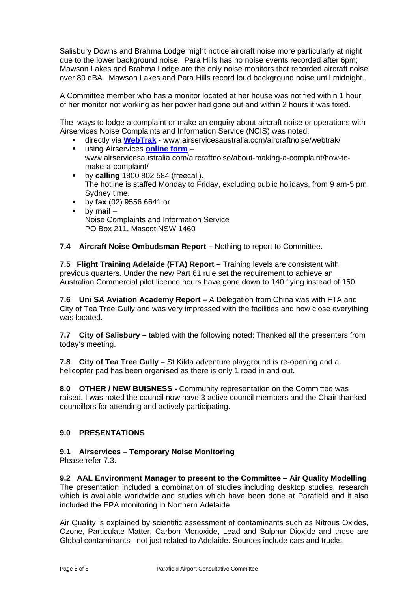Salisbury Downs and Brahma Lodge might notice aircraft noise more particularly at night due to the lower background noise. Para Hills has no noise events recorded after 6pm; Mawson Lakes and Brahma Lodge are the only noise monitors that recorded aircraft noise over 80 dBA. Mawson Lakes and Para Hills record loud background noise until midnight..

A Committee member who has a monitor located at her house was notified within 1 hour of her monitor not working as her power had gone out and within 2 hours it was fixed.

The ways to lodge a complaint or make an enquiry about aircraft noise or operations with Airservices Noise Complaints and Information Service (NCIS) was noted:

- directly via **WebTrak** www.airservicesaustralia.com/aircraftnoise/webtrak/
- using Airservices **online form** www.airservicesaustralia.com/aircraftnoise/about-making-a-complaint/how-tomake-a-complaint/
- **by calling** 1800 802 584 (freecall). The hotline is staffed Monday to Friday, excluding public holidays, from 9 am-5 pm Sydney time.
- by **fax** (02) 9556 6641 or
- by **mail** Noise Complaints and Information Service PO Box 211, Mascot NSW 1460
- **7.4 Aircraft Noise Ombudsman Report** Nothing to report to Committee.

7.5 Flight Training Adelaide (FTA) Report - Training levels are consistent with previous quarters. Under the new Part 61 rule set the requirement to achieve an Australian Commercial pilot licence hours have gone down to 140 flying instead of 150.

**7.6 Uni SA Aviation Academy Report –** A Delegation from China was with FTA and City of Tea Tree Gully and was very impressed with the facilities and how close everything was located.

**7.7 City of Salisbury –** tabled with the following noted: Thanked all the presenters from today's meeting.

**7.8 City of Tea Tree Gully –** St Kilda adventure playground is re-opening and a helicopter pad has been organised as there is only 1 road in and out.

**8.0 OTHER / NEW BUISNESS -** Community representation on the Committee was raised. I was noted the council now have 3 active council members and the Chair thanked councillors for attending and actively participating.

#### **9.0 PRESENTATIONS**

#### **9.1 Airservices – Temporary Noise Monitoring**

Please refer 7.3.

**9.2 AAL Environment Manager to present to the Committee – Air Quality Modelling**  The presentation included a combination of studies including desktop studies, research which is available worldwide and studies which have been done at Parafield and it also included the EPA monitoring in Northern Adelaide.

Air Quality is explained by scientific assessment of contaminants such as Nitrous Oxides, Ozone, Particulate Matter, Carbon Monoxide, Lead and Sulphur Dioxide and these are Global contaminants– not just related to Adelaide. Sources include cars and trucks.